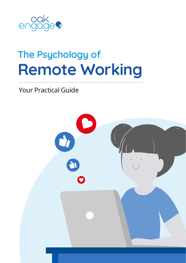

# **Remote Working The Psychology of**

### Your Practical Guide

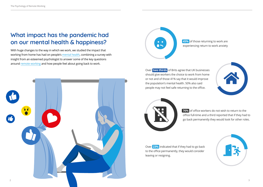### **What impact has the pandemic had on our mental health & happiness?**

With huge changes to the way in which we work, we studied the impact that working from home has had on people's [mental health](https://www.oak.com/blog/mental-health-in-the-workplace/?utm_source=psychology_of_remote_working&utm_medium=pdf), combining a survey with insight from an esteemed psychologist to answer some of the key questions around [remote working](https://www.oak.com/blog/remote-work-culture/?utm_source=psychology_of_remote_working&utm_medium=pdf) and how people feel about going back to work.





**45%** of those returning to work are experiencing return to work anxiety

Over **two thirds** of Brits agree that UK businesses should give workers the choice to work from home or not and of those 41% say that it would improve the population's mental health. 50% also said people may not feel safe returning to the office.





**76%** of office workers do not wish to return to the office full-time and a third reported that if they had to go back permanently they would look for other roles.

Over **23%** indicated that if they had to go back to the office permanently, they would consider leaving or resigning.

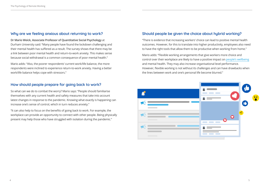### **Why are we feeling anxious about returning to work?**

**Dr Mario Weick, Associate Professor of Quantitative Social Psychology** at Durham University said: "Many people have found the lockdown challenging and their mental health has suffered as a result. The survey shows that there may be a link between poor mental health and return-to-work anxiety. This makes sense because social withdrawal is a common consequence of poor mental health."

Mario adds: "Also, the poorer respondents' current work/life balance, the more respondents were inclined to experience return-to-work anxiety. Having a better work/life balance helps cope with stressors."

### **How should people prepare for going back to work?**

So what can we do to combat the worry? Mario says: "People should familiarise themselves with any current health and safety measures that take into account latest changes in response to the pandemic. Knowing what exactly is happening can increase one's sense of control, which in turn reduces anxiety."

"It can also help to focus on the benefits of going back to work. For example, the workplace can provide an opportunity to connect with other people. Being physically present may help those who have struggled with isolation during the pandemic."

### **Should people be given the choice about hybrid working?**

"There is evidence that increasing workers' choice can lead to positive mental health outcomes. However, for this to translate into higher productivity, employees also need to have the right tools that allow them to be productive when working from home."

Mario adds: "Flexible working arrangements that give workers more choice and control over their workplace are likely to have a positive impact on [people's wellbeing](https://www.oak.com/blog/employee-wellbeing/?utm_source=psychology_of_remote_working&utm_medium=pdf) and mental health. They may also increase organisational level performance. However, flexible working is not without its challenges and can have drawbacks when the lines between work and one's personal life become blurred."

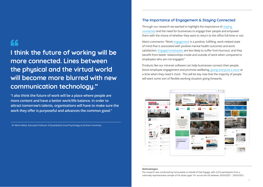## LL

**I think the future of working will be more connected. Lines between the physical and the virtual world will become more blurred with new communication technology."**

**"I also think the future of work will be a place where people are more content and have a better work/life balance. In order to attract tomorrow's talents, organisations will have to make sure the work they offer is purposeful and advances the common good."** 

- Dr Mario Weick, Associate Professor of Quantitative Social Psychology at Durham University

#### **The Importance of Engagement & Staying Connected**

Through our research we wanted to highlight the importance of [staying](https://www.oak.com/blog/business-communication/?utm_source=psychology_of_remote_working&utm_medium=pdf)  [connected](https://www.oak.com/blog/business-communication/?utm_source=psychology_of_remote_working&utm_medium=pdf) and the need for businesses to engage their people and empower them with the choice of whether they want to return to the office full-time or not.

Mario comments: "Work [engagement](https://www.oak.com/blog/employee-engagement/?utm_source=psychology_of_remote_working&utm_medium=pdf) is a positive, fulfilling, work-related state of mind that is associated with positive mental health outcomes and work satisfaction. [Engaged employees](https://www.oak.com/blog/employee-engagement/?utm_source=psychology_of_remote_working&utm_medium=pdf) are less likely to suffer from burnout, and they benefit from better relationships inside and outside of work when compared to employees who are not engaged."

Products like our intranet software can help businesses connect their people, boost employee engagement and promote wellbeing, [giving everyone a voice](https://www.oak.com/blog/employee-voice/?utm_source=psychology_of_remote_working&utm_medium=pdf) at a time when they need it most. This will be key now that the majority of people will want some sort of flexible working situation going forwards.



#### **Methodologies**

The research was conducted by Censuswide on behalf of Oak Engage, with 2,016 participants from a nationally representative sample of UK adults aged 16+ across the UK between 26/03/2021 - 29/03/2021.